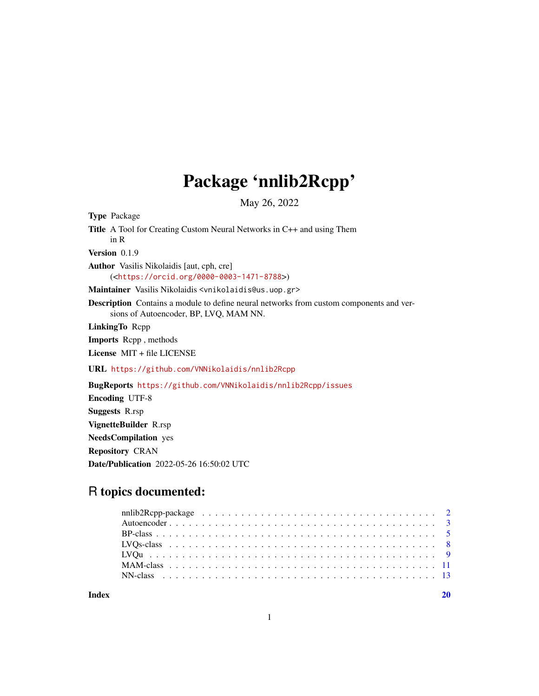## Package 'nnlib2Rcpp'

May 26, 2022

<span id="page-0-0"></span>Type Package

Title A Tool for Creating Custom Neural Networks in C++ and using Them in R Version 0.1.9 Author Vasilis Nikolaidis [aut, cph, cre] (<<https://orcid.org/0000-0003-1471-8788>>) Maintainer Vasilis Nikolaidis <vnikolaidis@us.uop.gr>

Description Contains a module to define neural networks from custom components and versions of Autoencoder, BP, LVQ, MAM NN.

LinkingTo Rcpp

Imports Rcpp , methods

License MIT + file LICENSE

URL <https://github.com/VNNikolaidis/nnlib2Rcpp>

BugReports <https://github.com/VNNikolaidis/nnlib2Rcpp/issues>

Encoding UTF-8 Suggests R.rsp VignetteBuilder R.rsp NeedsCompilation yes Repository CRAN Date/Publication 2022-05-26 16:50:02 UTC

### R topics documented:

 $\bf 1$ ndex  $\bf 20$  $\bf 20$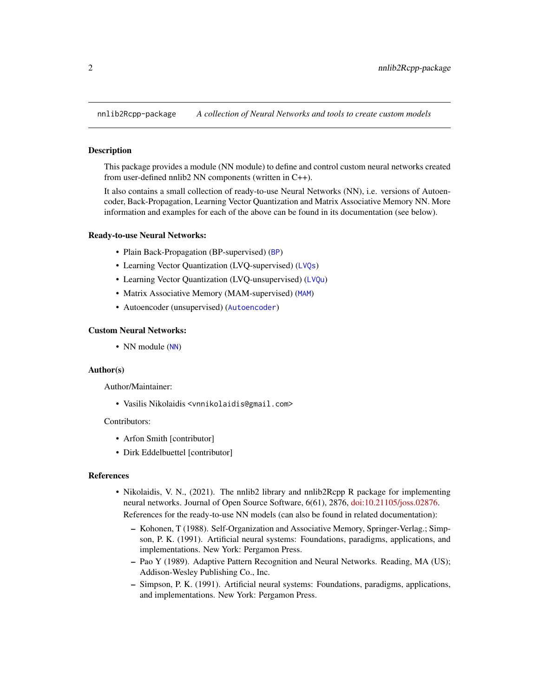<span id="page-1-0"></span>nnlib2Rcpp-package *A collection of Neural Networks and tools to create custom models*

#### Description

This package provides a module (NN module) to define and control custom neural networks created from user-defined nnlib2 NN components (written in C++).

It also contains a small collection of ready-to-use Neural Networks (NN), i.e. versions of Autoencoder, Back-Propagation, Learning Vector Quantization and Matrix Associative Memory NN. More information and examples for each of the above can be found in its documentation (see below).

#### Ready-to-use Neural Networks:

- Plain Back-Propagation ([BP](#page-4-1)-supervised) (BP)
- Learning Vector Quantization (LVQ-supervised) ([LVQs](#page-7-1))
- Learning Vector Quantization (LVQ-unsupervised) ([LVQu](#page-8-1))
- Matrix Associative Memory (MAM-supervised) ([MAM](#page-10-1))
- Autoencoder (unsupervised) ([Autoencoder](#page-2-1))

#### Custom Neural Networks:

• [NN](#page-12-1) module (NN)

#### Author(s)

Author/Maintainer:

• Vasilis Nikolaidis <vnnikolaidis@gmail.com>

#### Contributors:

- Arfon Smith [contributor]
- Dirk Eddelbuettel [contributor]

#### References

- Nikolaidis, V. N., (2021). The nnlib2 library and nnlib2Rcpp R package for implementing neural networks. Journal of Open Source Software, 6(61), 2876, [doi:10.21105/joss.02876.](https://doi.org/10.21105/joss.02876) References for the ready-to-use NN models (can also be found in related documentation):
	- Kohonen, T (1988). Self-Organization and Associative Memory, Springer-Verlag.; Simpson, P. K. (1991). Artificial neural systems: Foundations, paradigms, applications, and implementations. New York: Pergamon Press.
	- Pao Y (1989). Adaptive Pattern Recognition and Neural Networks. Reading, MA (US); Addison-Wesley Publishing Co., Inc.
	- Simpson, P. K. (1991). Artificial neural systems: Foundations, paradigms, applications, and implementations. New York: Pergamon Press.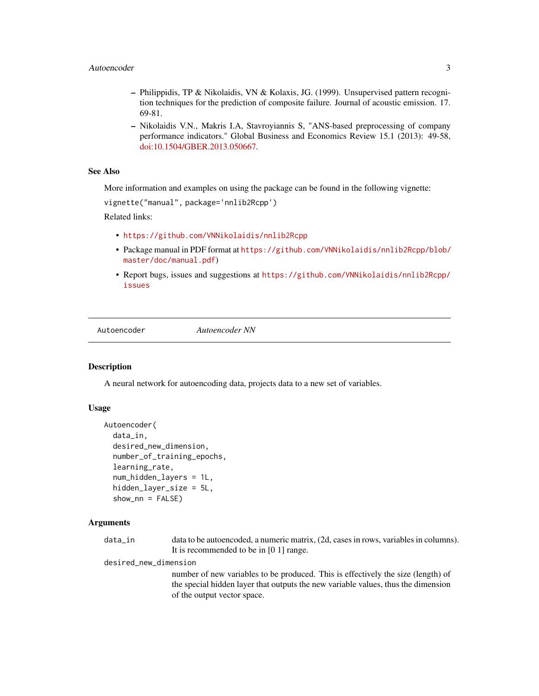- <span id="page-2-0"></span>– Philippidis, TP & Nikolaidis, VN & Kolaxis, JG. (1999). Unsupervised pattern recognition techniques for the prediction of composite failure. Journal of acoustic emission. 17. 69-81.
- Nikolaidis V.N., Makris I.A, Stavroyiannis S, "ANS-based preprocessing of company performance indicators." Global Business and Economics Review 15.1 (2013): 49-58, [doi:10.1504/GBER.2013.050667.](https://doi.org/10.1504/GBER.2013.050667)

#### See Also

More information and examples on using the package can be found in the following vignette:

vignette("manual", package='nnlib2Rcpp')

Related links:

- <https://github.com/VNNikolaidis/nnlib2Rcpp>
- Package manual in PDF format at [https://github.com/VNNikolaidis/nnlib2Rcpp/blob/](https://github.com/VNNikolaidis/nnlib2Rcpp/blob/master/doc/manual.pdf) [master/doc/manual.pdf](https://github.com/VNNikolaidis/nnlib2Rcpp/blob/master/doc/manual.pdf))
- Report bugs, issues and suggestions at [https://github.com/VNNikolaidis/nnlib2Rcpp/](https://github.com/VNNikolaidis/nnlib2Rcpp/issues) [issues](https://github.com/VNNikolaidis/nnlib2Rcpp/issues)

<span id="page-2-1"></span>Autoencoder *Autoencoder NN*

#### **Description**

A neural network for autoencoding data, projects data to a new set of variables.

#### Usage

```
Autoencoder(
  data_in,
  desired_new_dimension,
  number_of_training_epochs,
  learning_rate,
  num_hidden_layers = 1L,
  hidden_layer_size = 5L,
  shown\_nn = FALSE)
```
#### Arguments

data\_in data to be autoencoded, a numeric matrix, (2d, cases in rows, variables in columns). It is recommended to be in [0 1] range.

desired\_new\_dimension

number of new variables to be produced. This is effectively the size (length) of the special hidden layer that outputs the new variable values, thus the dimension of the output vector space.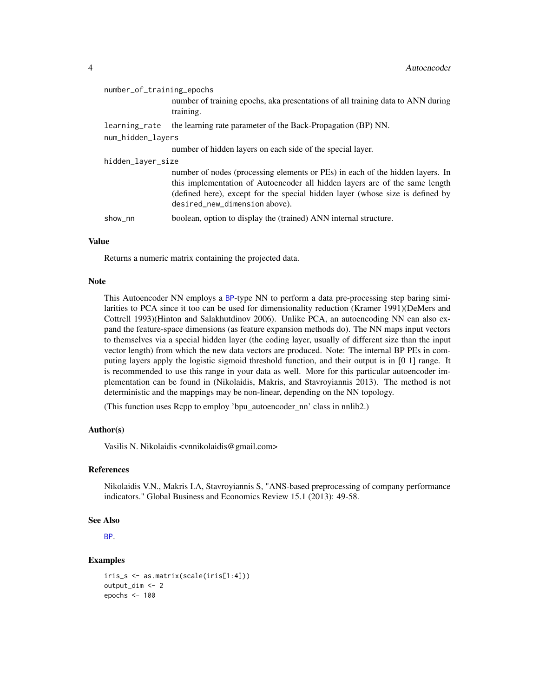<span id="page-3-0"></span>

| number_of_training_epochs |                                                                                                                                                                                                                                                                                |  |
|---------------------------|--------------------------------------------------------------------------------------------------------------------------------------------------------------------------------------------------------------------------------------------------------------------------------|--|
|                           | number of training epochs, aka presentations of all training data to ANN during<br>training.                                                                                                                                                                                   |  |
| learning_rate             | the learning rate parameter of the Back-Propagation (BP) NN.                                                                                                                                                                                                                   |  |
| num_hidden_layers         |                                                                                                                                                                                                                                                                                |  |
|                           | number of hidden layers on each side of the special layer.                                                                                                                                                                                                                     |  |
| hidden_layer_size         |                                                                                                                                                                                                                                                                                |  |
|                           | number of nodes (processing elements or PEs) in each of the hidden layers. In<br>this implementation of Autoencoder all hidden layers are of the same length<br>(defined here), except for the special hidden layer (whose size is defined by<br>desired_new_dimension above). |  |
| show nn                   | boolean, option to display the (trained) ANN internal structure.                                                                                                                                                                                                               |  |

#### Value

Returns a numeric matrix containing the projected data.

#### Note

This Autoencoder NN employs a [BP](#page-4-1)-type NN to perform a data pre-processing step baring similarities to PCA since it too can be used for dimensionality reduction (Kramer 1991)(DeMers and Cottrell 1993)(Hinton and Salakhutdinov 2006). Unlike PCA, an autoencoding NN can also expand the feature-space dimensions (as feature expansion methods do). The NN maps input vectors to themselves via a special hidden layer (the coding layer, usually of different size than the input vector length) from which the new data vectors are produced. Note: The internal BP PEs in computing layers apply the logistic sigmoid threshold function, and their output is in [0 1] range. It is recommended to use this range in your data as well. More for this particular autoencoder implementation can be found in (Nikolaidis, Makris, and Stavroyiannis 2013). The method is not deterministic and the mappings may be non-linear, depending on the NN topology.

(This function uses Rcpp to employ 'bpu\_autoencoder\_nn' class in nnlib2.)

#### Author(s)

Vasilis N. Nikolaidis <vnnikolaidis@gmail.com>

#### References

Nikolaidis V.N., Makris I.A, Stavroyiannis S, "ANS-based preprocessing of company performance indicators." Global Business and Economics Review 15.1 (2013): 49-58.

#### See Also

[BP](#page-4-1).

#### Examples

```
iris_s <- as.matrix(scale(iris[1:4]))
output_dim <- 2
epochs <- 100
```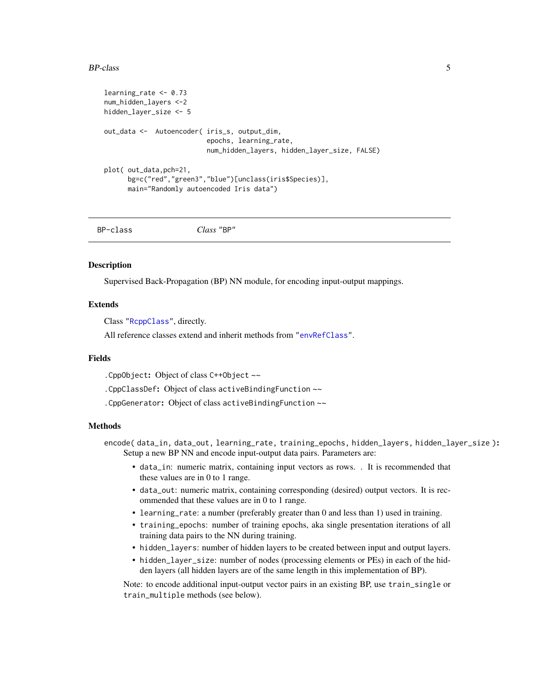#### <span id="page-4-0"></span>BP-class 5

```
learning_rate <- 0.73
num_hidden_layers <-2
hidden_layer_size <- 5
out_data <- Autoencoder( iris_s, output_dim,
                          epochs, learning_rate,
                          num_hidden_layers, hidden_layer_size, FALSE)
plot( out_data,pch=21,
     bg=c("red","green3","blue")[unclass(iris$Species)],
     main="Randomly autoencoded Iris data")
```
BP-class *Class* "BP"

#### <span id="page-4-1"></span>**Description**

Supervised Back-Propagation (BP) NN module, for encoding input-output mappings.

#### Extends

Class ["RcppClass"](#page-12-1), directly.

All reference classes extend and inherit methods from ["envRefClass"](#page-0-0).

#### Fields

.CppObject: Object of class C++Object ~~

.CppClassDef: Object of class activeBindingFunction ~~

.CppGenerator: Object of class activeBindingFunction ~~

#### Methods

encode(data\_in, data\_out, learning\_rate, training\_epochs, hidden\_layers, hidden\_layer\_size): Setup a new BP NN and encode input-output data pairs. Parameters are:

- data\_in: numeric matrix, containing input vectors as rows. . It is recommended that these values are in 0 to 1 range.
- data\_out: numeric matrix, containing corresponding (desired) output vectors. It is recommended that these values are in 0 to 1 range.
- learning\_rate: a number (preferably greater than 0 and less than 1) used in training.
- training\_epochs: number of training epochs, aka single presentation iterations of all training data pairs to the NN during training.
- hidden\_layers: number of hidden layers to be created between input and output layers.
- hidden\_layer\_size: number of nodes (processing elements or PEs) in each of the hidden layers (all hidden layers are of the same length in this implementation of BP).

Note: to encode additional input-output vector pairs in an existing BP, use train\_single or train\_multiple methods (see below).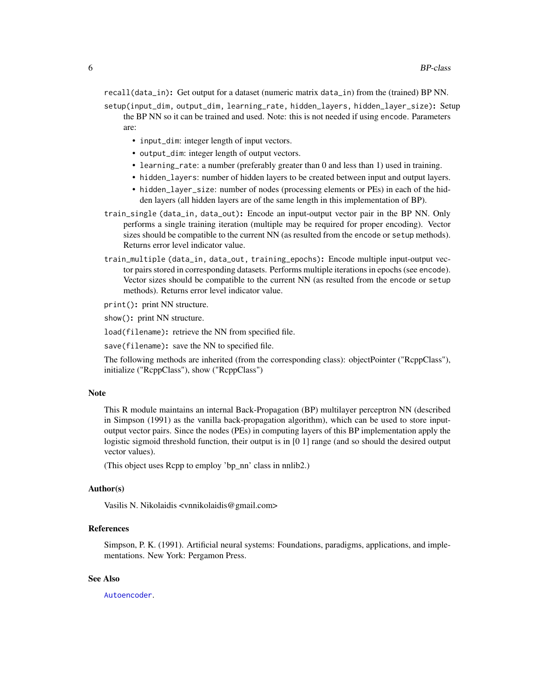<span id="page-5-0"></span>recall(data\_in): Get output for a dataset (numeric matrix data\_in) from the (trained) BP NN.

setup(input\_dim, output\_dim, learning\_rate, hidden\_layers, hidden\_layer\_size): Setup the BP NN so it can be trained and used. Note: this is not needed if using encode. Parameters are:

- input\_dim: integer length of input vectors.
- output\_dim: integer length of output vectors.
- learning rate: a number (preferably greater than 0 and less than 1) used in training.
- hidden\_layers: number of hidden layers to be created between input and output layers.
- hidden\_layer\_size: number of nodes (processing elements or PEs) in each of the hidden layers (all hidden layers are of the same length in this implementation of BP).
- train\_single (data\_in, data\_out): Encode an input-output vector pair in the BP NN. Only performs a single training iteration (multiple may be required for proper encoding). Vector sizes should be compatible to the current NN (as resulted from the encode or setup methods). Returns error level indicator value.
- train\_multiple (data\_in, data\_out, training\_epochs): Encode multiple input-output vector pairs stored in corresponding datasets. Performs multiple iterations in epochs (see encode). Vector sizes should be compatible to the current NN (as resulted from the encode or setup methods). Returns error level indicator value.

print(): print NN structure.

show(): print NN structure.

load(filename): retrieve the NN from specified file.

save(filename): save the NN to specified file.

The following methods are inherited (from the corresponding class): objectPointer ("RcppClass"), initialize ("RcppClass"), show ("RcppClass")

#### Note

This R module maintains an internal Back-Propagation (BP) multilayer perceptron NN (described in Simpson (1991) as the vanilla back-propagation algorithm), which can be used to store inputoutput vector pairs. Since the nodes (PEs) in computing layers of this BP implementation apply the logistic sigmoid threshold function, their output is in [0 1] range (and so should the desired output vector values).

(This object uses Rcpp to employ 'bp\_nn' class in nnlib2.)

#### Author(s)

Vasilis N. Nikolaidis <vnnikolaidis@gmail.com>

#### References

Simpson, P. K. (1991). Artificial neural systems: Foundations, paradigms, applications, and implementations. New York: Pergamon Press.

#### See Also

[Autoencoder](#page-2-1).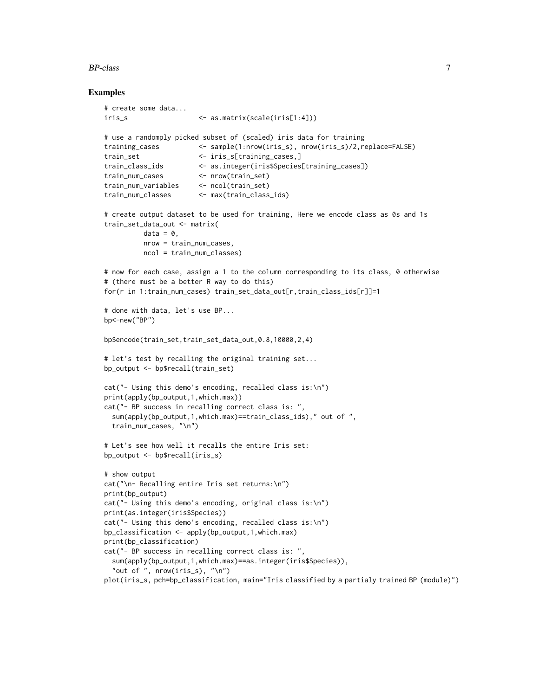#### BP-class 7

#### Examples

```
# create some data...
iris_s <- as.matrix(scale(iris[1:4]))
# use a randomply picked subset of (scaled) iris data for training
training_cases <- sample(1:nrow(iris_s), nrow(iris_s)/2,replace=FALSE)
train_set <- iris_s[training_cases,]
train_class_ids <- as.integer(iris$Species[training_cases])
train_num_cases <- nrow(train_set)
train_num_variables <- ncol(train_set)
train_num_classes <- max(train_class_ids)
# create output dataset to be used for training, Here we encode class as 0s and 1s
train_set_data_out <- matrix(
         data = 0,
         nrow = train_num_cases,
         ncol = train_num_classes)
# now for each case, assign a 1 to the column corresponding to its class, 0 otherwise
# (there must be a better R way to do this)
for(r in 1:train_num_cases) train_set_data_out[r,train_class_ids[r]]=1
# done with data, let's use BP...
bp <- new ("BP")
bp$encode(train_set,train_set_data_out,0.8,10000,2,4)
# let's test by recalling the original training set...
bp_output <- bp$recall(train_set)
cat("- Using this demo's encoding, recalled class is:\n")
print(apply(bp_output,1,which.max))
cat("- BP success in recalling correct class is: ",
 sum(apply(bp_output,1,which.max)==train_class_ids)," out of ",
 train_num_cases, "\n")
# Let's see how well it recalls the entire Iris set:
bp_output <- bp$recall(iris_s)
# show output
cat("\n- Recalling entire Iris set returns:\n")
print(bp_output)
cat("- Using this demo's encoding, original class is:\n")
print(as.integer(iris$Species))
cat("- Using this demo's encoding, recalled class is:\n")
bp_classification <- apply(bp_output,1,which.max)
print(bp_classification)
cat("- BP success in recalling correct class is: ",
  sum(apply(bp_output,1,which.max)==as.integer(iris$Species)),
  "out of ", nrow(iris_s), "\n")
plot(iris_s, pch=bp_classification, main="Iris classified by a partialy trained BP (module)")
```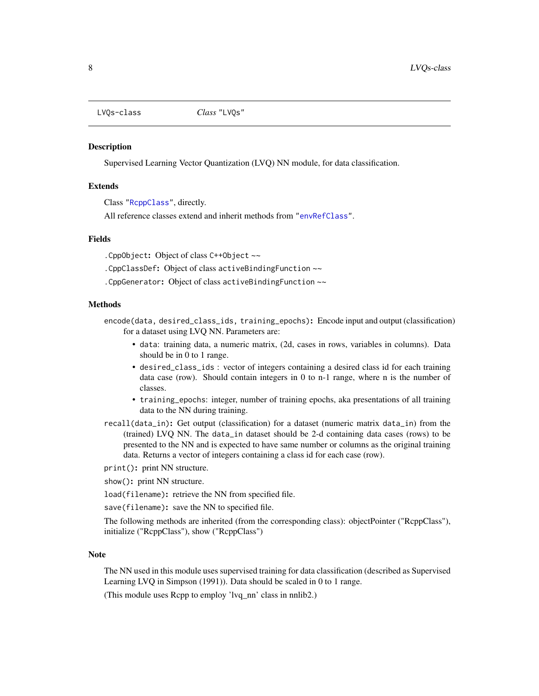<span id="page-7-0"></span>

#### <span id="page-7-1"></span>**Description**

Supervised Learning Vector Quantization (LVQ) NN module, for data classification.

#### Extends

Class ["RcppClass"](#page-12-1), directly.

All reference classes extend and inherit methods from ["envRefClass"](#page-0-0).

#### Fields

.CppObject: Object of class C++Object ~~

.CppClassDef: Object of class activeBindingFunction ~~

.CppGenerator: Object of class activeBindingFunction ~~

#### Methods

encode(data, desired\_class\_ids, training\_epochs): Encode input and output (classification) for a dataset using LVQ NN. Parameters are:

- data: training data, a numeric matrix, (2d, cases in rows, variables in columns). Data should be in 0 to 1 range.
- desired\_class\_ids : vector of integers containing a desired class id for each training data case (row). Should contain integers in 0 to n-1 range, where n is the number of classes.
- training\_epochs: integer, number of training epochs, aka presentations of all training data to the NN during training.
- recall(data\_in): Get output (classification) for a dataset (numeric matrix data\_in) from the (trained) LVQ NN. The data\_in dataset should be 2-d containing data cases (rows) to be presented to the NN and is expected to have same number or columns as the original training data. Returns a vector of integers containing a class id for each case (row).

print(): print NN structure.

show(): print NN structure.

load(filename): retrieve the NN from specified file.

save(filename): save the NN to specified file.

The following methods are inherited (from the corresponding class): objectPointer ("RcppClass"), initialize ("RcppClass"), show ("RcppClass")

#### Note

The NN used in this module uses supervised training for data classification (described as Supervised Learning LVQ in Simpson (1991)). Data should be scaled in 0 to 1 range.

(This module uses Rcpp to employ 'lvq\_nn' class in nnlib2.)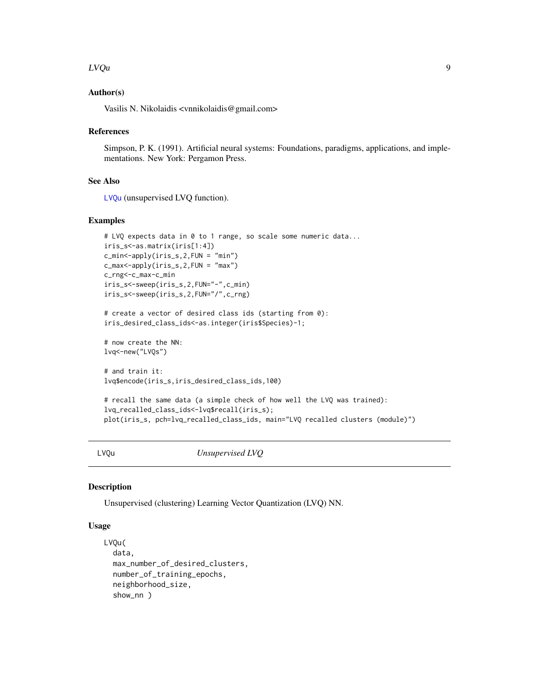#### <span id="page-8-0"></span>LVQu 9

#### Author(s)

Vasilis N. Nikolaidis <vnnikolaidis@gmail.com>

#### References

Simpson, P. K. (1991). Artificial neural systems: Foundations, paradigms, applications, and implementations. New York: Pergamon Press.

#### See Also

[LVQu](#page-8-1) (unsupervised LVQ function).

#### Examples

```
# LVQ expects data in 0 to 1 range, so scale some numeric data...
iris_s<-as.matrix(iris[1:4])
c_min<-apply(iris_s,2,FUN = "min")
c_max<-apply(iris_s,2,FUN = "max")
c_rng<-c_max-c_min
iris_s<-sweep(iris_s,2,FUN="-",c_min)
iris_s<-sweep(iris_s,2,FUN="/",c_rng)
# create a vector of desired class ids (starting from 0):
iris_desired_class_ids<-as.integer(iris$Species)-1;
# now create the NN:
lvq<-new("LVQs")
# and train it:
lvq$encode(iris_s,iris_desired_class_ids,100)
```

```
# recall the same data (a simple check of how well the LVQ was trained):
lvq_recalled_class_ids<-lvq$recall(iris_s);
plot(iris_s, pch=lvq_recalled_class_ids, main="LVQ recalled clusters (module)")
```
<span id="page-8-1"></span>LVQu *Unsupervised LVQ*

#### Description

Unsupervised (clustering) Learning Vector Quantization (LVQ) NN.

#### Usage

```
LVQu(
  data,
  max_number_of_desired_clusters,
  number_of_training_epochs,
  neighborhood_size,
  show_nn )
```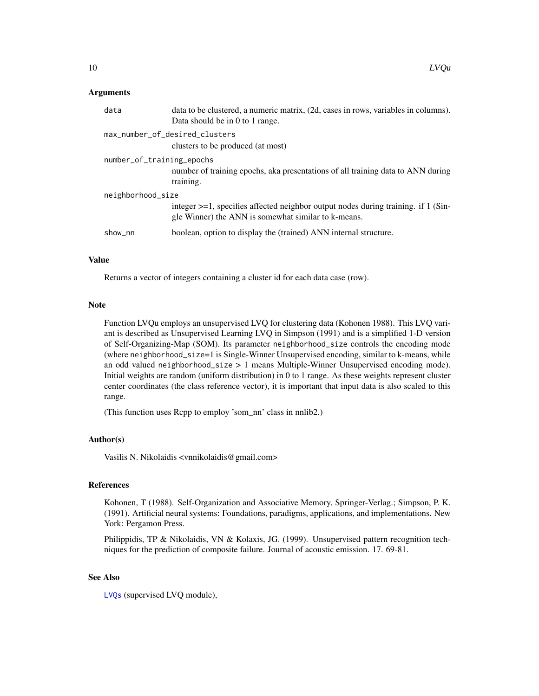#### <span id="page-9-0"></span>Arguments

| data                      | data to be clustered, a numeric matrix, (2d, cases in rows, variables in columns).<br>Data should be in 0 to 1 range.                          |  |  |
|---------------------------|------------------------------------------------------------------------------------------------------------------------------------------------|--|--|
|                           | max_number_of_desired_clusters<br>clusters to be produced (at most)                                                                            |  |  |
| number_of_training_epochs | number of training epochs, aka presentations of all training data to ANN during<br>training.                                                   |  |  |
| neighborhood_size         |                                                                                                                                                |  |  |
|                           | integer $\geq$ =1, specifies affected neighbor output nodes during training. if 1 (Sin-<br>gle Winner) the ANN is somewhat similar to k-means. |  |  |
| show_nn                   | boolean, option to display the (trained) ANN internal structure.                                                                               |  |  |

#### Value

Returns a vector of integers containing a cluster id for each data case (row).

#### Note

Function LVQu employs an unsupervised LVQ for clustering data (Kohonen 1988). This LVQ variant is described as Unsupervised Learning LVQ in Simpson (1991) and is a simplified 1-D version of Self-Organizing-Map (SOM). Its parameter neighborhood\_size controls the encoding mode (where neighborhood\_size=1 is Single-Winner Unsupervised encoding, similar to k-means, while an odd valued neighborhood\_size > 1 means Multiple-Winner Unsupervised encoding mode). Initial weights are random (uniform distribution) in 0 to 1 range. As these weights represent cluster center coordinates (the class reference vector), it is important that input data is also scaled to this range.

(This function uses Rcpp to employ 'som\_nn' class in nnlib2.)

#### Author(s)

Vasilis N. Nikolaidis <vnnikolaidis@gmail.com>

#### References

Kohonen, T (1988). Self-Organization and Associative Memory, Springer-Verlag.; Simpson, P. K. (1991). Artificial neural systems: Foundations, paradigms, applications, and implementations. New York: Pergamon Press.

Philippidis, TP & Nikolaidis, VN & Kolaxis, JG. (1999). Unsupervised pattern recognition techniques for the prediction of composite failure. Journal of acoustic emission. 17. 69-81.

#### See Also

[LVQs](#page-7-1) (supervised LVQ module),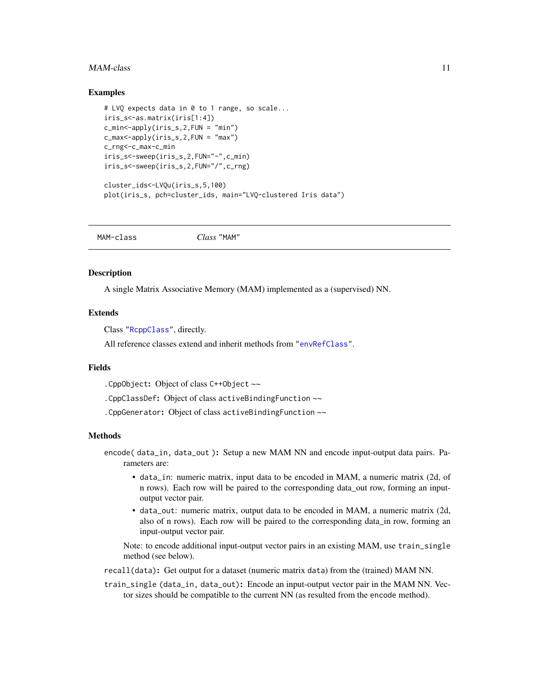#### <span id="page-10-0"></span> $MAM$ -class  $11$

#### Examples

```
# LVQ expects data in 0 to 1 range, so scale...
iris_s<-as.matrix(iris[1:4])
c_{\text{min}} < -apply(iris_s, 2, FUN = "min")
c_max<-apply(iris_s,2,FUN = "max")
c_rng<-c_max-c_min
iris_s<-sweep(iris_s,2,FUN="-",c_min)
iris_s<-sweep(iris_s,2,FUN="/",c_rng)
```

```
cluster_ids<-LVQu(iris_s,5,100)
plot(iris_s, pch=cluster_ids, main="LVQ-clustered Iris data")
```
MAM-class *Class* "MAM"

#### <span id="page-10-1"></span>**Description**

A single Matrix Associative Memory (MAM) implemented as a (supervised) NN.

#### **Extends**

Class ["RcppClass"](#page-12-1), directly.

All reference classes extend and inherit methods from ["envRefClass"](#page-0-0).

#### Fields

.CppObject: Object of class C++Object ~~

.CppClassDef: Object of class activeBindingFunction ~~

.CppGenerator: Object of class activeBindingFunction ~~

#### Methods

- encode( data\_in, data\_out ): Setup a new MAM NN and encode input-output data pairs. Parameters are:
	- data\_in: numeric matrix, input data to be encoded in MAM, a numeric matrix (2d, of n rows). Each row will be paired to the corresponding data\_out row, forming an inputoutput vector pair.
	- data\_out: numeric matrix, output data to be encoded in MAM, a numeric matrix (2d, also of n rows). Each row will be paired to the corresponding data\_in row, forming an input-output vector pair.

Note: to encode additional input-output vector pairs in an existing MAM, use train\_single method (see below).

recall(data): Get output for a dataset (numeric matrix data) from the (trained) MAM NN.

train\_single (data\_in, data\_out): Encode an input-output vector pair in the MAM NN. Vector sizes should be compatible to the current NN (as resulted from the encode method).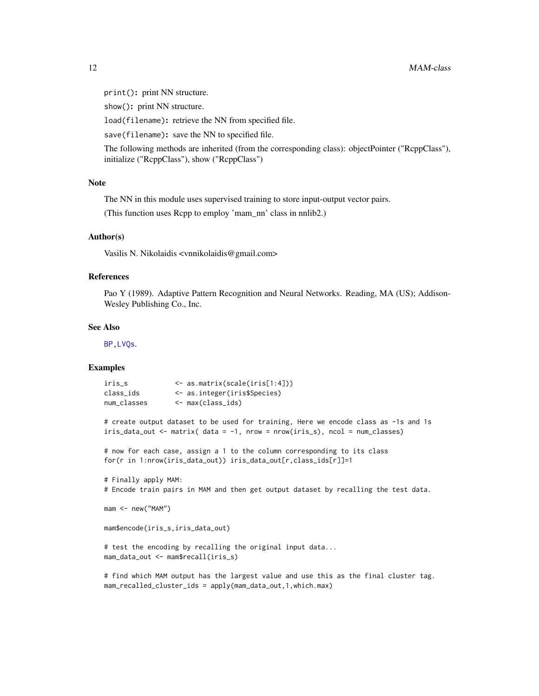<span id="page-11-0"></span>print(): print NN structure.

show(): print NN structure.

load(filename): retrieve the NN from specified file.

save(filename): save the NN to specified file.

The following methods are inherited (from the corresponding class): objectPointer ("RcppClass"), initialize ("RcppClass"), show ("RcppClass")

#### Note

The NN in this module uses supervised training to store input-output vector pairs.

(This function uses Rcpp to employ 'mam\_nn' class in nnlib2.)

#### Author(s)

Vasilis N. Nikolaidis <vnnikolaidis@gmail.com>

#### References

Pao Y (1989). Adaptive Pattern Recognition and Neural Networks. Reading, MA (US); Addison-Wesley Publishing Co., Inc.

#### See Also

[BP](#page-4-1)[,LVQs](#page-7-1).

#### Examples

```
iris_s <- as.matrix(scale(iris[1:4]))
class_ids <- as.integer(iris$Species)
num_classes <- max(class_ids)
```
# create output dataset to be used for training, Here we encode class as -1s and 1s iris\_data\_out <- matrix( data = -1, nrow = nrow(iris\_s), ncol = num\_classes)

# now for each case, assign a 1 to the column corresponding to its class for(r in 1:nrow(iris\_data\_out)) iris\_data\_out[r,class\_ids[r]]=1

```
# Finally apply MAM:
# Encode train pairs in MAM and then get output dataset by recalling the test data.
```

```
mam <- new("MAM")
```
mam\$encode(iris\_s,iris\_data\_out)

# test the encoding by recalling the original input data... mam\_data\_out <- mam\$recall(iris\_s)

# find which MAM output has the largest value and use this as the final cluster tag. mam\_recalled\_cluster\_ids = apply(mam\_data\_out,1,which.max)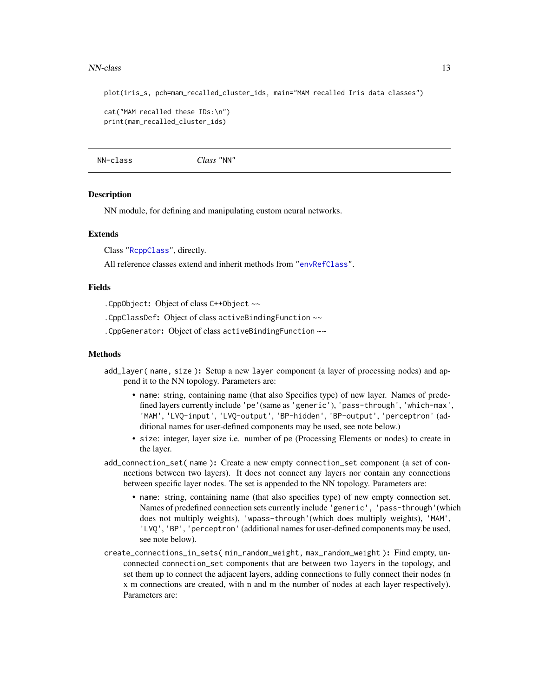#### <span id="page-12-0"></span>NN-class 23

plot(iris\_s, pch=mam\_recalled\_cluster\_ids, main="MAM recalled Iris data classes")

```
cat("MAM recalled these IDs:\n")
print(mam_recalled_cluster_ids)
```
NN-class *Class* "NN"

#### <span id="page-12-1"></span>**Description**

NN module, for defining and manipulating custom neural networks.

#### Extends

Class ["RcppClass"](#page-12-1), directly.

All reference classes extend and inherit methods from ["envRefClass"](#page-0-0).

#### Fields

.CppObject: Object of class C++Object ~~

.CppClassDef: Object of class activeBindingFunction ~~

.CppGenerator: Object of class activeBindingFunction ~~

#### Methods

- add\_layer( name, size ): Setup a new layer component (a layer of processing nodes) and append it to the NN topology. Parameters are:
	- name: string, containing name (that also Specifies type) of new layer. Names of predefined layers currently include 'pe'(same as 'generic'), 'pass-through', 'which-max', 'MAM', 'LVQ-input', 'LVQ-output', 'BP-hidden', 'BP-output', 'perceptron' (additional names for user-defined components may be used, see note below.)
	- size: integer, layer size i.e. number of pe (Processing Elements or nodes) to create in the layer.
- add\_connection\_set( name ): Create a new empty connection\_set component (a set of connections between two layers). It does not connect any layers nor contain any connections between specific layer nodes. The set is appended to the NN topology. Parameters are:
	- name: string, containing name (that also specifies type) of new empty connection set. Names of predefined connection sets currently include 'generic', 'pass-through'(which does not multiply weights), 'wpass-through'(which does multiply weights), 'MAM', 'LVQ', 'BP', 'perceptron' (additional names for user-defined components may be used, see note below).
- create\_connections\_in\_sets( min\_random\_weight, max\_random\_weight ): Find empty, unconnected connection\_set components that are between two layers in the topology, and set them up to connect the adjacent layers, adding connections to fully connect their nodes (n x m connections are created, with n and m the number of nodes at each layer respectively). Parameters are: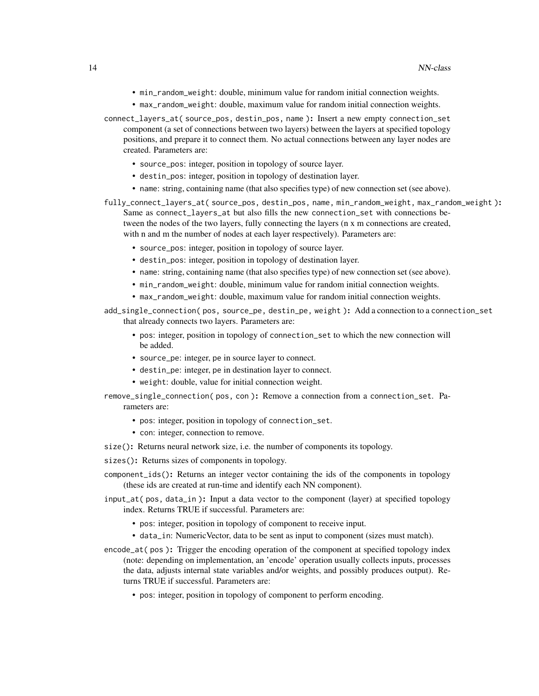- min\_random\_weight: double, minimum value for random initial connection weights.
- max\_random\_weight: double, maximum value for random initial connection weights.
- connect\_layers\_at( source\_pos, destin\_pos, name ): Insert a new empty connection\_set component (a set of connections between two layers) between the layers at specified topology positions, and prepare it to connect them. No actual connections between any layer nodes are created. Parameters are:
	- source\_pos: integer, position in topology of source layer.
	- destin\_pos: integer, position in topology of destination layer.
	- name: string, containing name (that also specifies type) of new connection set (see above).
- fully\_connect\_layers\_at( source\_pos, destin\_pos, name, min\_random\_weight, max\_random\_weight): Same as connect\_layers\_at but also fills the new connection\_set with connections between the nodes of the two layers, fully connecting the layers (n x m connections are created, with n and m the number of nodes at each layer respectively). Parameters are:
	- source\_pos: integer, position in topology of source layer.
	- destin\_pos: integer, position in topology of destination layer.
	- name: string, containing name (that also specifies type) of new connection set (see above).
	- min\_random\_weight: double, minimum value for random initial connection weights.
	- max\_random\_weight: double, maximum value for random initial connection weights.
- add\_single\_connection( pos, source\_pe, destin\_pe, weight ): Add a connection to a connection\_set that already connects two layers. Parameters are:
	- pos: integer, position in topology of connection\_set to which the new connection will be added.
	- source\_pe: integer, pe in source layer to connect.
	- destin\_pe: integer, pe in destination layer to connect.
	- weight: double, value for initial connection weight.
- remove\_single\_connection( pos, con ): Remove a connection from a connection\_set. Parameters are:
	- pos: integer, position in topology of connection\_set.
	- con: integer, connection to remove.
- size(): Returns neural network size, i.e. the number of components its topology.

sizes(): Returns sizes of components in topology.

- component\_ids(): Returns an integer vector containing the ids of the components in topology (these ids are created at run-time and identify each NN component).
- input\_at( pos, data\_in ): Input a data vector to the component (layer) at specified topology index. Returns TRUE if successful. Parameters are:
	- pos: integer, position in topology of component to receive input.
	- data\_in: NumericVector, data to be sent as input to component (sizes must match).
- encode\_at( pos ): Trigger the encoding operation of the component at specified topology index (note: depending on implementation, an 'encode' operation usually collects inputs, processes the data, adjusts internal state variables and/or weights, and possibly produces output). Returns TRUE if successful. Parameters are:
	- pos: integer, position in topology of component to perform encoding.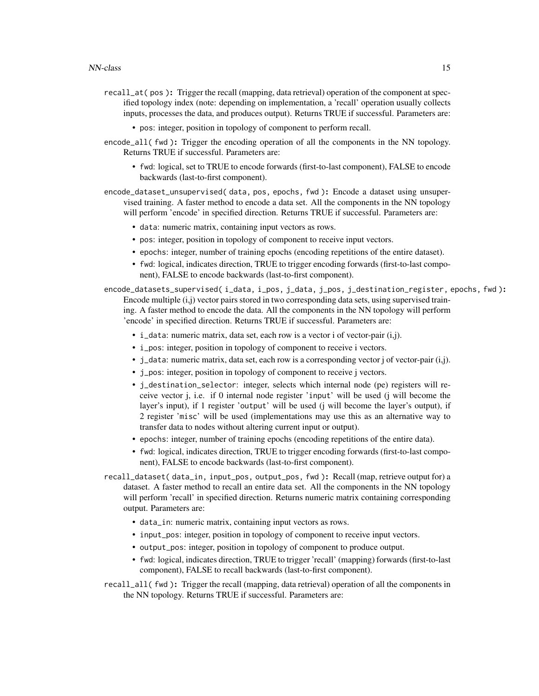- recall\_at( pos ): Trigger the recall (mapping, data retrieval) operation of the component at specified topology index (note: depending on implementation, a 'recall' operation usually collects inputs, processes the data, and produces output). Returns TRUE if successful. Parameters are:
	- pos: integer, position in topology of component to perform recall.
- encode\_all( fwd ): Trigger the encoding operation of all the components in the NN topology. Returns TRUE if successful. Parameters are:
	- fwd: logical, set to TRUE to encode forwards (first-to-last component), FALSE to encode backwards (last-to-first component).
- encode\_dataset\_unsupervised( data, pos, epochs, fwd ): Encode a dataset using unsupervised training. A faster method to encode a data set. All the components in the NN topology will perform 'encode' in specified direction. Returns TRUE if successful. Parameters are:
	- data: numeric matrix, containing input vectors as rows.
	- pos: integer, position in topology of component to receive input vectors.
	- epochs: integer, number of training epochs (encoding repetitions of the entire dataset).
	- fwd: logical, indicates direction, TRUE to trigger encoding forwards (first-to-last component), FALSE to encode backwards (last-to-first component).
- encode\_datasets\_supervised( i\_data, i\_pos, j\_data, j\_pos, j\_destination\_register, epochs, fwd ): Encode multiple (i,j) vector pairs stored in two corresponding data sets, using supervised training. A faster method to encode the data. All the components in the NN topology will perform 'encode' in specified direction. Returns TRUE if successful. Parameters are:
	- i\_data: numeric matrix, data set, each row is a vector i of vector-pair (i,j).
	- i\_pos: integer, position in topology of component to receive i vectors.
	- $\bullet$  j\_data: numeric matrix, data set, each row is a corresponding vector j of vector-pair (i,j).
	- j\_pos: integer, position in topology of component to receive j vectors.
	- j\_destination\_selector: integer, selects which internal node (pe) registers will receive vector j, i.e. if 0 internal node register 'input' will be used (j will become the layer's input), if 1 register 'output' will be used (j will become the layer's output), if 2 register 'misc' will be used (implementations may use this as an alternative way to transfer data to nodes without altering current input or output).
	- epochs: integer, number of training epochs (encoding repetitions of the entire data).
	- fwd: logical, indicates direction, TRUE to trigger encoding forwards (first-to-last component), FALSE to encode backwards (last-to-first component).
- recall\_dataset( data\_in, input\_pos, output\_pos, fwd ): Recall (map, retrieve output for) a dataset. A faster method to recall an entire data set. All the components in the NN topology will perform 'recall' in specified direction. Returns numeric matrix containing corresponding output. Parameters are:
	- data\_in: numeric matrix, containing input vectors as rows.
	- input\_pos: integer, position in topology of component to receive input vectors.
	- output\_pos: integer, position in topology of component to produce output.
	- fwd: logical, indicates direction, TRUE to trigger 'recall' (mapping) forwards (first-to-last component), FALSE to recall backwards (last-to-first component).
- recall\_all( fwd ): Trigger the recall (mapping, data retrieval) operation of all the components in the NN topology. Returns TRUE if successful. Parameters are: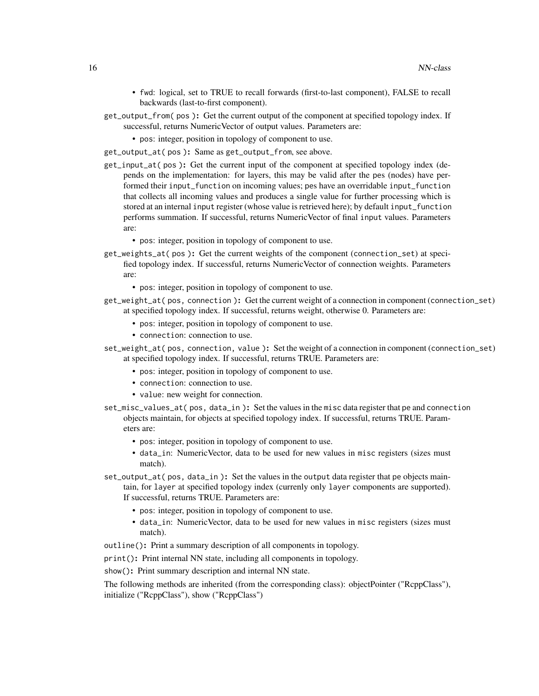- fwd: logical, set to TRUE to recall forwards (first-to-last component), FALSE to recall backwards (last-to-first component).
- get\_output\_from( pos ): Get the current output of the component at specified topology index. If successful, returns NumericVector of output values. Parameters are:
	- pos: integer, position in topology of component to use.
- get\_output\_at( pos ): Same as get\_output\_from, see above.
- get\_input\_at( pos ): Get the current input of the component at specified topology index (depends on the implementation: for layers, this may be valid after the pes (nodes) have performed their input\_function on incoming values; pes have an overridable input\_function that collects all incoming values and produces a single value for further processing which is stored at an internal input register (whose value is retrieved here); by default input\_function performs summation. If successful, returns NumericVector of final input values. Parameters are:
	- pos: integer, position in topology of component to use.
- get\_weights\_at( pos ): Get the current weights of the component (connection\_set) at specified topology index. If successful, returns NumericVector of connection weights. Parameters are:
	- pos: integer, position in topology of component to use.
- get\_weight\_at( pos, connection ): Get the current weight of a connection in component (connection\_set) at specified topology index. If successful, returns weight, otherwise 0. Parameters are:
	- pos: integer, position in topology of component to use.
	- connection: connection to use.
- set\_weight\_at( pos, connection, value ): Set the weight of a connection in component (connection\_set) at specified topology index. If successful, returns TRUE. Parameters are:
	- pos: integer, position in topology of component to use.
	- connection: connection to use.
	- value: new weight for connection.
- set\_misc\_values\_at( pos, data\_in ): Set the values in the misc data register that pe and connection objects maintain, for objects at specified topology index. If successful, returns TRUE. Parameters are:
	- pos: integer, position in topology of component to use.
	- data\_in: NumericVector, data to be used for new values in misc registers (sizes must match).
- set\_output\_at( pos, data\_in ): Set the values in the output data register that pe objects maintain, for layer at specified topology index (currenly only layer components are supported). If successful, returns TRUE. Parameters are:
	- pos: integer, position in topology of component to use.
	- data\_in: NumericVector, data to be used for new values in misc registers (sizes must match).
- outline(): Print a summary description of all components in topology.
- print(): Print internal NN state, including all components in topology.
- show(): Print summary description and internal NN state.

The following methods are inherited (from the corresponding class): objectPointer ("RcppClass"), initialize ("RcppClass"), show ("RcppClass")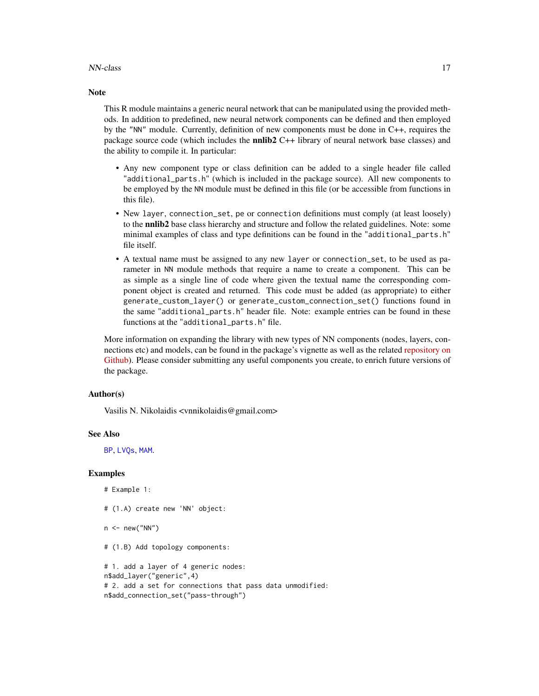#### <span id="page-16-0"></span>NN-class 2012 and 2013 and 2013 and 2013 and 2013 and 2013 and 2013 and 2013 and 2013 and 2013 and 2013 and 201

#### **Note**

This R module maintains a generic neural network that can be manipulated using the provided methods. In addition to predefined, new neural network components can be defined and then employed by the "NN" module. Currently, definition of new components must be done in C++, requires the package source code (which includes the **nnlib2** C++ library of neural network base classes) and the ability to compile it. In particular:

- Any new component type or class definition can be added to a single header file called "additional\_parts.h" (which is included in the package source). All new components to be employed by the NN module must be defined in this file (or be accessible from functions in this file).
- New layer, connection\_set, pe or connection definitions must comply (at least loosely) to the **nnlib2** base class hierarchy and structure and follow the related guidelines. Note: some minimal examples of class and type definitions can be found in the "additional\_parts.h" file itself.
- A textual name must be assigned to any new layer or connection\_set, to be used as parameter in NN module methods that require a name to create a component. This can be as simple as a single line of code where given the textual name the corresponding component object is created and returned. This code must be added (as appropriate) to either generate\_custom\_layer() or generate\_custom\_connection\_set() functions found in the same "additional\_parts.h" header file. Note: example entries can be found in these functions at the "additional\_parts.h" file.

More information on expanding the library with new types of NN components (nodes, layers, connections etc) and models, can be found in the package's vignette as well as the related [repository on](https://github.com/VNNikolaidis/nnlib2Rcpp) [Github\)](https://github.com/VNNikolaidis/nnlib2Rcpp). Please consider submitting any useful components you create, to enrich future versions of the package.

#### Author(s)

Vasilis N. Nikolaidis <vnnikolaidis@gmail.com>

#### See Also

[BP](#page-4-1), [LVQs](#page-7-1), [MAM](#page-10-1).

#### Examples

```
# Example 1:
# (1.A) create new 'NN' object:
```
 $n < -$  new("NN")

# (1.B) Add topology components:

```
# 1. add a layer of 4 generic nodes:
n$add_layer("generic",4)
# 2. add a set for connections that pass data unmodified:
n$add_connection_set("pass-through")
```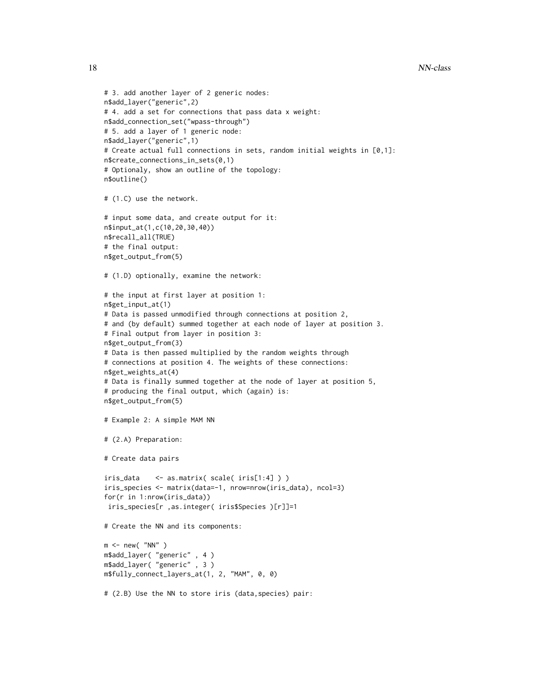```
# 3. add another layer of 2 generic nodes:
n$add_layer("generic",2)
# 4. add a set for connections that pass data x weight:
n$add_connection_set("wpass-through")
# 5. add a layer of 1 generic node:
n$add_layer("generic",1)
# Create actual full connections in sets, random initial weights in [0,1]:
n$create_connections_in_sets(0,1)
# Optionaly, show an outline of the topology:
n$outline()
# (1.C) use the network.
# input some data, and create output for it:
n$input_at(1,c(10,20,30,40))
n$recall_all(TRUE)
# the final output:
n$get_output_from(5)
# (1.D) optionally, examine the network:
# the input at first layer at position 1:
n$get_input_at(1)
# Data is passed unmodified through connections at position 2,
# and (by default) summed together at each node of layer at position 3.
# Final output from layer in position 3:
n$get_output_from(3)
# Data is then passed multiplied by the random weights through
# connections at position 4. The weights of these connections:
n$get_weights_at(4)
# Data is finally summed together at the node of layer at position 5,
# producing the final output, which (again) is:
n$get_output_from(5)
# Example 2: A simple MAM NN
# (2.A) Preparation:
# Create data pairs
iris_data <- as.matrix( scale( iris[1:4] ) )
iris_species <- matrix(data=-1, nrow=nrow(iris_data), ncol=3)
for(r in 1:nrow(iris_data))
iris_species[r ,as.integer( iris$Species )[r]]=1
# Create the NN and its components:
m <- new( "NN" )
m$add_layer( "generic" , 4 )
m$add_layer( "generic" , 3 )
m$fully_connect_layers_at(1, 2, "MAM", 0, 0)
```

```
# (2.B) Use the NN to store iris (data,species) pair:
```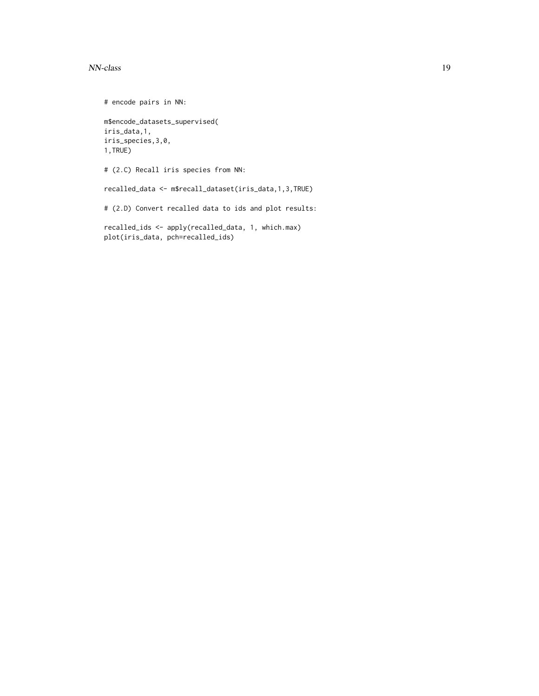#### NN-class 2012 and 2013 and 2013 and 2013 and 2013 and 2013 and 2013 and 2013 and 2013 and 2013 and 2013 and 20

# encode pairs in NN: m\$encode\_datasets\_supervised( iris\_data,1, iris\_species,3,0, 1,TRUE) # (2.C) Recall iris species from NN: recalled\_data <- m\$recall\_dataset(iris\_data,1,3,TRUE) # (2.D) Convert recalled data to ids and plot results: recalled\_ids <- apply(recalled\_data, 1, which.max) plot(iris\_data, pch=recalled\_ids)